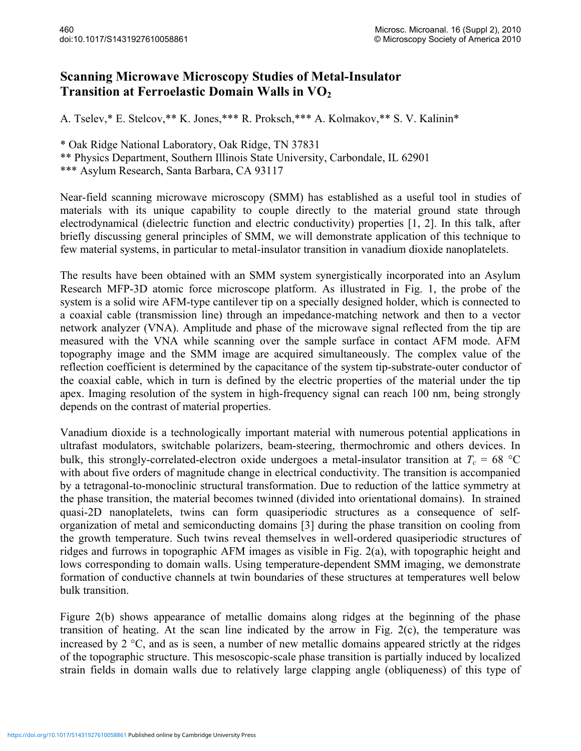## **Scanning Microwave Microscopy Studies of Metal-Insulator Transition at Ferroelastic Domain Walls in VO2**

A. Tselev,\* E. Stelcov,\*\* K. Jones,\*\*\* R. Proksch,\*\*\* A. Kolmakov,\*\* S. V. Kalinin\*

\* Oak Ridge National Laboratory, Oak Ridge, TN 37831

\*\* Physics Department, Southern Illinois State University, Carbondale, IL 62901

\*\*\* Asylum Research, Santa Barbara, CA 93117

Near-field scanning microwave microscopy (SMM) has established as a useful tool in studies of materials with its unique capability to couple directly to the material ground state through electrodynamical (dielectric function and electric conductivity) properties [1, 2]. In this talk, after briefly discussing general principles of SMM, we will demonstrate application of this technique to few material systems, in particular to metal-insulator transition in vanadium dioxide nanoplatelets.

The results have been obtained with an SMM system synergistically incorporated into an Asylum Research MFP-3D atomic force microscope platform. As illustrated in Fig. 1, the probe of the system is a solid wire AFM-type cantilever tip on a specially designed holder, which is connected to a coaxial cable (transmission line) through an impedance-matching network and then to a vector network analyzer (VNA). Amplitude and phase of the microwave signal reflected from the tip are measured with the VNA while scanning over the sample surface in contact AFM mode. AFM topography image and the SMM image are acquired simultaneously. The complex value of the reflection coefficient is determined by the capacitance of the system tip-substrate-outer conductor of the coaxial cable, which in turn is defined by the electric properties of the material under the tip apex. Imaging resolution of the system in high-frequency signal can reach 100 nm, being strongly depends on the contrast of material properties.

Vanadium dioxide is a technologically important material with numerous potential applications in ultrafast modulators, switchable polarizers, beam-steering, thermochromic and others devices. In bulk, this strongly-correlated-electron oxide undergoes a metal-insulator transition at  $T_c = 68 \text{ °C}$ with about five orders of magnitude change in electrical conductivity. The transition is accompanied by a tetragonal-to-monoclinic structural transformation. Due to reduction of the lattice symmetry at the phase transition, the material becomes twinned (divided into orientational domains). In strained quasi-2D nanoplatelets, twins can form quasiperiodic structures as a consequence of selforganization of metal and semiconducting domains [3] during the phase transition on cooling from the growth temperature. Such twins reveal themselves in well-ordered quasiperiodic structures of ridges and furrows in topographic AFM images as visible in Fig. 2(a), with topographic height and lows corresponding to domain walls. Using temperature-dependent SMM imaging, we demonstrate formation of conductive channels at twin boundaries of these structures at temperatures well below bulk transition.

Figure 2(b) shows appearance of metallic domains along ridges at the beginning of the phase transition of heating. At the scan line indicated by the arrow in Fig. 2(c), the temperature was increased by 2 °C, and as is seen, a number of new metallic domains appeared strictly at the ridges of the topographic structure. This mesoscopic-scale phase transition is partially induced by localized strain fields in domain walls due to relatively large clapping angle (obliqueness) of this type of